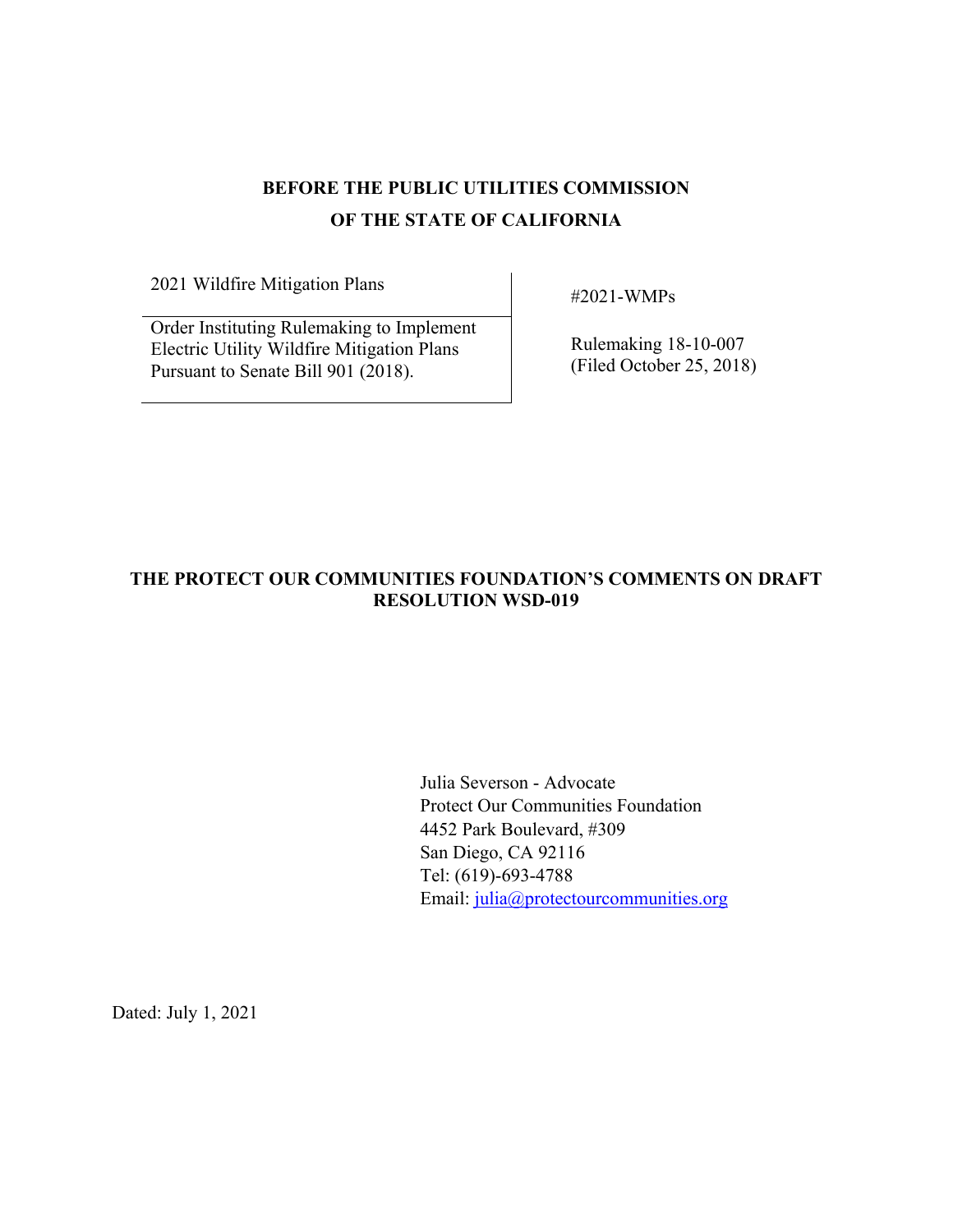# **BEFORE THE PUBLIC UTILITIES COMMISSION OF THE STATE OF CALIFORNIA**

2021 Wildfire Mitigation Plans #2021-WMPs

Order Instituting Rulemaking to Implement Electric Utility Wildfire Mitigation Plans Pursuant to Senate Bill 901 (2018).

 Rulemaking 18-10-007 (Filed October 25, 2018)

# **THE PROTECT OUR COMMUNITIES FOUNDATION'S COMMENTS ON DRAFT RESOLUTION WSD-019**

Julia Severson - Advocate Protect Our Communities Foundation 4452 Park Boulevard, #309 San Diego, CA 92116 Tel: (619)-693-4788 Email: julia@protectourcommunities.org

Dated: July 1, 2021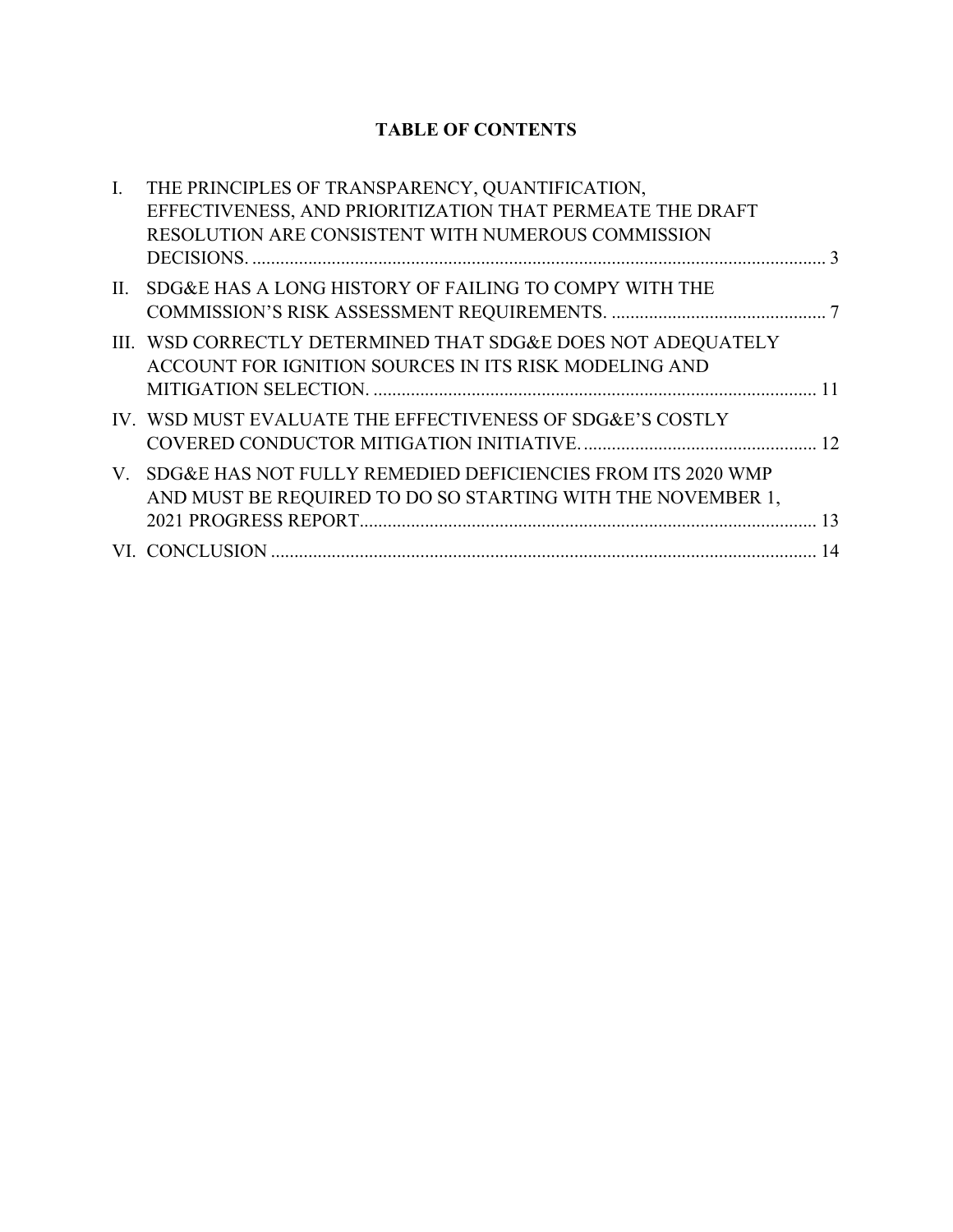# **TABLE OF CONTENTS**

| $\mathbf{I}$ . | THE PRINCIPLES OF TRANSPARENCY, QUANTIFICATION,                |  |
|----------------|----------------------------------------------------------------|--|
|                | EFFECTIVENESS, AND PRIORITIZATION THAT PERMEATE THE DRAFT      |  |
|                | RESOLUTION ARE CONSISTENT WITH NUMEROUS COMMISSION             |  |
|                |                                                                |  |
| $\Pi$ .        | SDG&E HAS A LONG HISTORY OF FAILING TO COMPY WITH THE          |  |
|                |                                                                |  |
|                | III. WSD CORRECTLY DETERMINED THAT SDG&E DOES NOT ADEQUATELY   |  |
|                | ACCOUNT FOR IGNITION SOURCES IN ITS RISK MODELING AND          |  |
|                |                                                                |  |
|                | IV. WSD MUST EVALUATE THE EFFECTIVENESS OF SDG&E'S COSTLY      |  |
|                |                                                                |  |
|                | V. SDG&E HAS NOT FULLY REMEDIED DEFICIENCIES FROM ITS 2020 WMP |  |
|                | AND MUST BE REQUIRED TO DO SO STARTING WITH THE NOVEMBER 1,    |  |
|                |                                                                |  |
|                |                                                                |  |
|                |                                                                |  |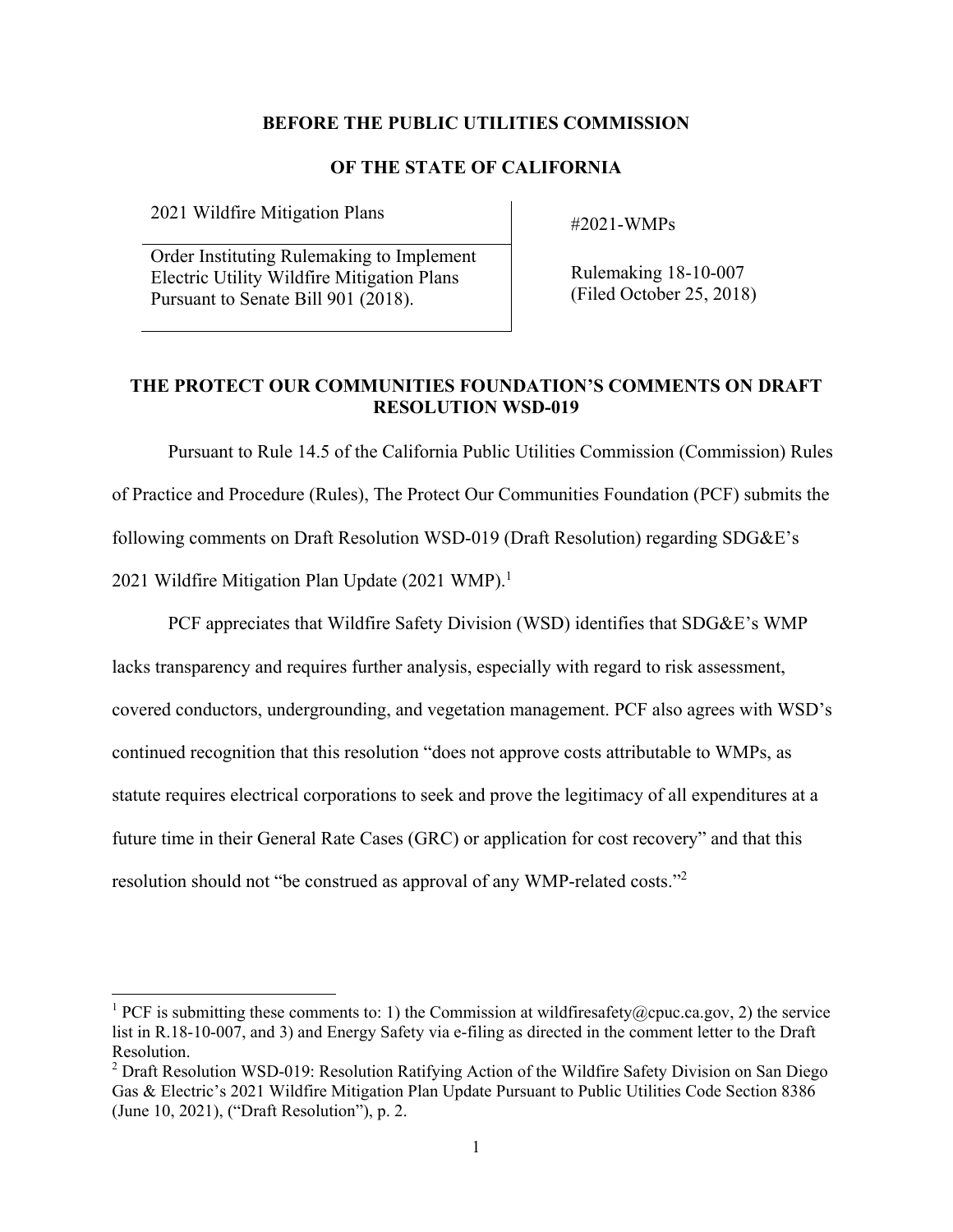#### **BEFORE THE PUBLIC UTILITIES COMMISSION**

#### **OF THE STATE OF CALIFORNIA**

2021 Wildfire Mitigation Plans #2021-WMPs

l

Order Instituting Rulemaking to Implement Electric Utility Wildfire Mitigation Plans Pursuant to Senate Bill 901 (2018).

 Rulemaking 18-10-007 (Filed October 25, 2018)

## **THE PROTECT OUR COMMUNITIES FOUNDATION'S COMMENTS ON DRAFT RESOLUTION WSD-019**

Pursuant to Rule 14.5 of the California Public Utilities Commission (Commission) Rules of Practice and Procedure (Rules), The Protect Our Communities Foundation (PCF) submits the following comments on Draft Resolution WSD-019 (Draft Resolution) regarding SDG&E's 2021 Wildfire Mitigation Plan Update (2021 WMP). $1$ 

PCF appreciates that Wildfire Safety Division (WSD) identifies that SDG&E's WMP lacks transparency and requires further analysis, especially with regard to risk assessment, covered conductors, undergrounding, and vegetation management. PCF also agrees with WSD's continued recognition that this resolution "does not approve costs attributable to WMPs, as statute requires electrical corporations to seek and prove the legitimacy of all expenditures at a future time in their General Rate Cases (GRC) or application for cost recovery" and that this resolution should not "be construed as approval of any WMP-related costs."<sup>2</sup>

<sup>&</sup>lt;sup>1</sup> PCF is submitting these comments to: 1) the Commission at wildfiresafety@cpuc.ca.gov, 2) the service list in R.18-10-007, and 3) and Energy Safety via e-filing as directed in the comment letter to the Draft Resolution.

<sup>&</sup>lt;sup>2</sup> Draft Resolution WSD-019: Resolution Ratifying Action of the Wildfire Safety Division on San Diego Gas & Electric's 2021 Wildfire Mitigation Plan Update Pursuant to Public Utilities Code Section 8386 (June 10, 2021), ("Draft Resolution"), p. 2.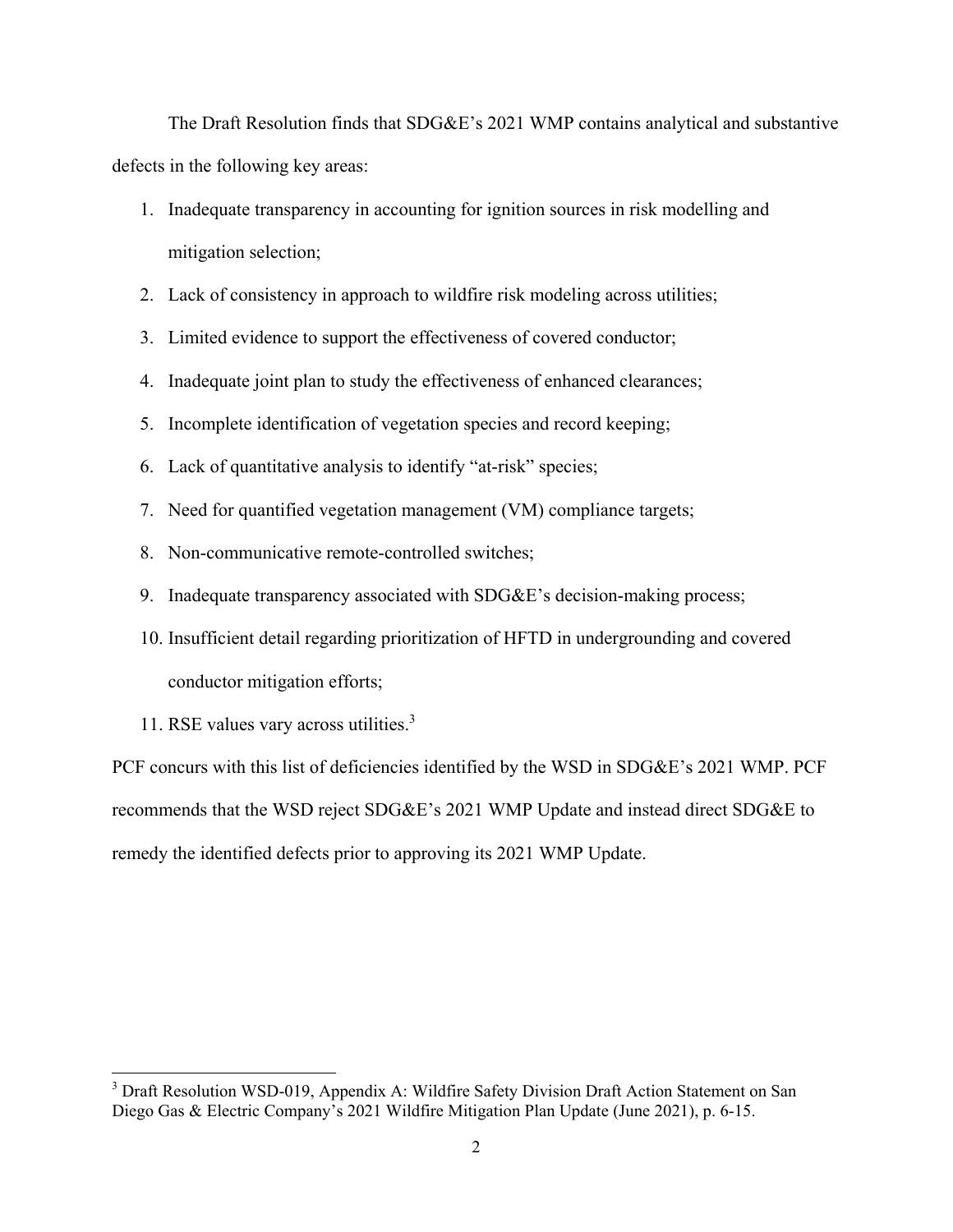The Draft Resolution finds that SDG&E's 2021 WMP contains analytical and substantive defects in the following key areas:

- 1. Inadequate transparency in accounting for ignition sources in risk modelling and mitigation selection;
- 2. Lack of consistency in approach to wildfire risk modeling across utilities;
- 3. Limited evidence to support the effectiveness of covered conductor;
- 4. Inadequate joint plan to study the effectiveness of enhanced clearances;
- 5. Incomplete identification of vegetation species and record keeping;
- 6. Lack of quantitative analysis to identify "at-risk" species;
- 7. Need for quantified vegetation management (VM) compliance targets;
- 8. Non-communicative remote-controlled switches;
- 9. Inadequate transparency associated with SDG&E's decision-making process;
- 10. Insufficient detail regarding prioritization of HFTD in undergrounding and covered conductor mitigation efforts;
- 11. RSE values vary across utilities.3

l

PCF concurs with this list of deficiencies identified by the WSD in SDG&E's 2021 WMP. PCF recommends that the WSD reject SDG&E's 2021 WMP Update and instead direct SDG&E to remedy the identified defects prior to approving its 2021 WMP Update.

<sup>&</sup>lt;sup>3</sup> Draft Resolution WSD-019, Appendix A: Wildfire Safety Division Draft Action Statement on San Diego Gas & Electric Company's 2021 Wildfire Mitigation Plan Update (June 2021), p. 6-15.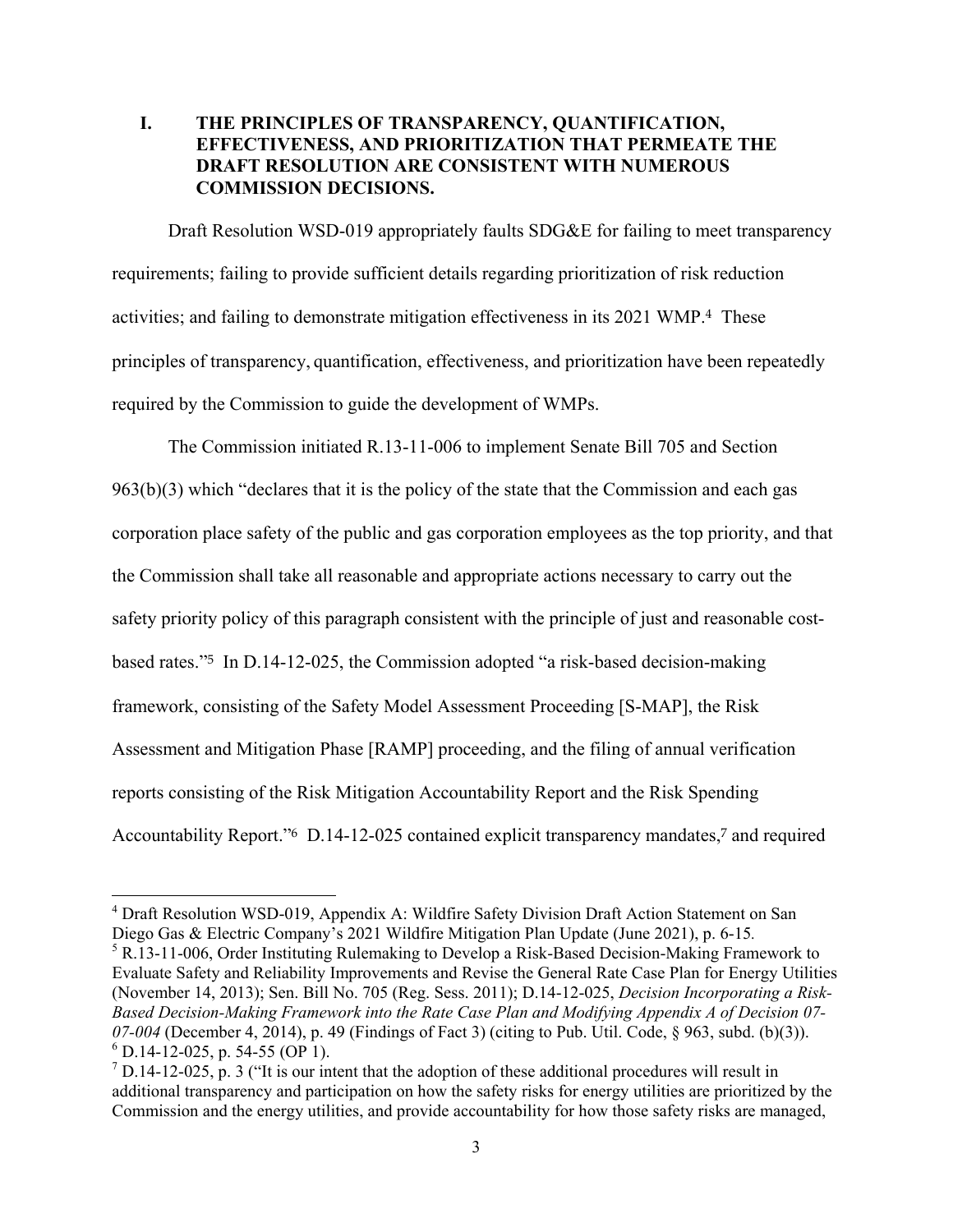# **I. THE PRINCIPLES OF TRANSPARENCY, QUANTIFICATION, EFFECTIVENESS, AND PRIORITIZATION THAT PERMEATE THE DRAFT RESOLUTION ARE CONSISTENT WITH NUMEROUS COMMISSION DECISIONS.**

Draft Resolution WSD-019 appropriately faults SDG&E for failing to meet transparency requirements; failing to provide sufficient details regarding prioritization of risk reduction activities; and failing to demonstrate mitigation effectiveness in its 2021 WMP.4 These principles of transparency, quantification, effectiveness, and prioritization have been repeatedly required by the Commission to guide the development of WMPs.

 The Commission initiated R.13-11-006 to implement Senate Bill 705 and Section  $963(b)(3)$  which "declares that it is the policy of the state that the Commission and each gas corporation place safety of the public and gas corporation employees as the top priority, and that the Commission shall take all reasonable and appropriate actions necessary to carry out the safety priority policy of this paragraph consistent with the principle of just and reasonable costbased rates."5 In D.14-12-025, the Commission adopted "a risk-based decision-making framework, consisting of the Safety Model Assessment Proceeding [S-MAP], the Risk Assessment and Mitigation Phase [RAMP] proceeding, and the filing of annual verification reports consisting of the Risk Mitigation Accountability Report and the Risk Spending Accountability Report."<sup>6</sup> D.14-12-025 contained explicit transparency mandates,<sup>7</sup> and required

 $\overline{a}$ 

<sup>&</sup>lt;sup>4</sup> Draft Resolution WSD-019, Appendix A: Wildfire Safety Division Draft Action Statement on San Diego Gas & Electric Company's 2021 Wildfire Mitigation Plan Update (June 2021), p. 6-15*.* <sup>5</sup> R.13-11-006, Order Instituting Rulemaking to Develop a Risk-Based Decision-Making Framework to Evaluate Safety and Reliability Improvements and Revise the General Rate Case Plan for Energy Utilities (November 14, 2013); Sen. Bill No. 705 (Reg. Sess. 2011); D.14-12-025, *Decision Incorporating a Risk-*

*Based Decision-Making Framework into the Rate Case Plan and Modifying Appendix A of Decision 07- 07-004* (December 4, 2014), p. 49 (Findings of Fact 3) (citing to Pub. Util. Code, § 963, subd. (b)(3)).  $6$  D.14-12-025, p. 54-55 (OP 1).

 $<sup>7</sup>$  D.14-12-025, p. 3 ("It is our intent that the adoption of these additional procedures will result in</sup> additional transparency and participation on how the safety risks for energy utilities are prioritized by the Commission and the energy utilities, and provide accountability for how those safety risks are managed,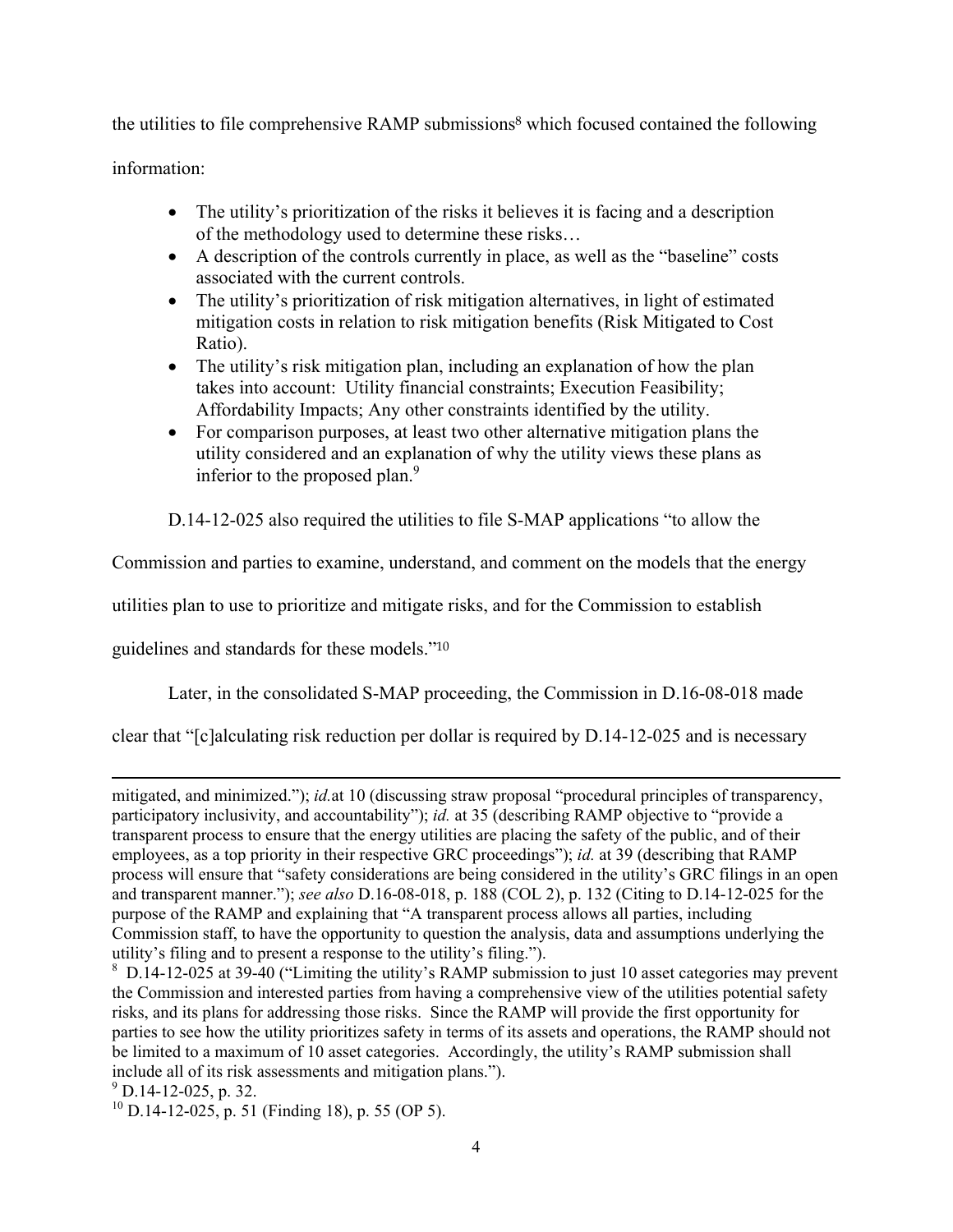the utilities to file comprehensive RAMP submissions<sup>8</sup> which focused contained the following

information:

- The utility's prioritization of the risks it believes it is facing and a description of the methodology used to determine these risks…
- A description of the controls currently in place, as well as the "baseline" costs associated with the current controls.
- The utility's prioritization of risk mitigation alternatives, in light of estimated mitigation costs in relation to risk mitigation benefits (Risk Mitigated to Cost Ratio).
- The utility's risk mitigation plan, including an explanation of how the plan takes into account: Utility financial constraints; Execution Feasibility; Affordability Impacts; Any other constraints identified by the utility.
- For comparison purposes, at least two other alternative mitigation plans the utility considered and an explanation of why the utility views these plans as inferior to the proposed plan. $9$

D.14-12-025 also required the utilities to file S-MAP applications "to allow the

Commission and parties to examine, understand, and comment on the models that the energy

utilities plan to use to prioritize and mitigate risks, and for the Commission to establish

guidelines and standards for these models."<sup>10</sup>

Later, in the consolidated S-MAP proceeding, the Commission in D.16-08-018 made

clear that "[c]alculating risk reduction per dollar is required by D.14-12-025 and is necessary

mitigated, and minimized."); *id.*at 10 (discussing straw proposal "procedural principles of transparency, participatory inclusivity, and accountability"); *id.* at 35 (describing RAMP objective to "provide a transparent process to ensure that the energy utilities are placing the safety of the public, and of their employees, as a top priority in their respective GRC proceedings"); *id.* at 39 (describing that RAMP process will ensure that "safety considerations are being considered in the utility's GRC filings in an open and transparent manner."); *see also* D.16-08-018, p. 188 (COL 2), p. 132 (Citing to D.14-12-025 for the purpose of the RAMP and explaining that "A transparent process allows all parties, including Commission staff, to have the opportunity to question the analysis, data and assumptions underlying the utility's filing and to present a response to the utility's filing.").

<sup>&</sup>lt;sup>8</sup> D.14-12-025 at 39-40 ("Limiting the utility's RAMP submission to just 10 asset categories may prevent the Commission and interested parties from having a comprehensive view of the utilities potential safety risks, and its plans for addressing those risks. Since the RAMP will provide the first opportunity for parties to see how the utility prioritizes safety in terms of its assets and operations, the RAMP should not be limited to a maximum of 10 asset categories. Accordingly, the utility's RAMP submission shall include all of its risk assessments and mitigation plans.").

 $9^9$  D.14-12-025, p. 32.

 $10$  D.14-12-025, p. 51 (Finding 18), p. 55 (OP 5).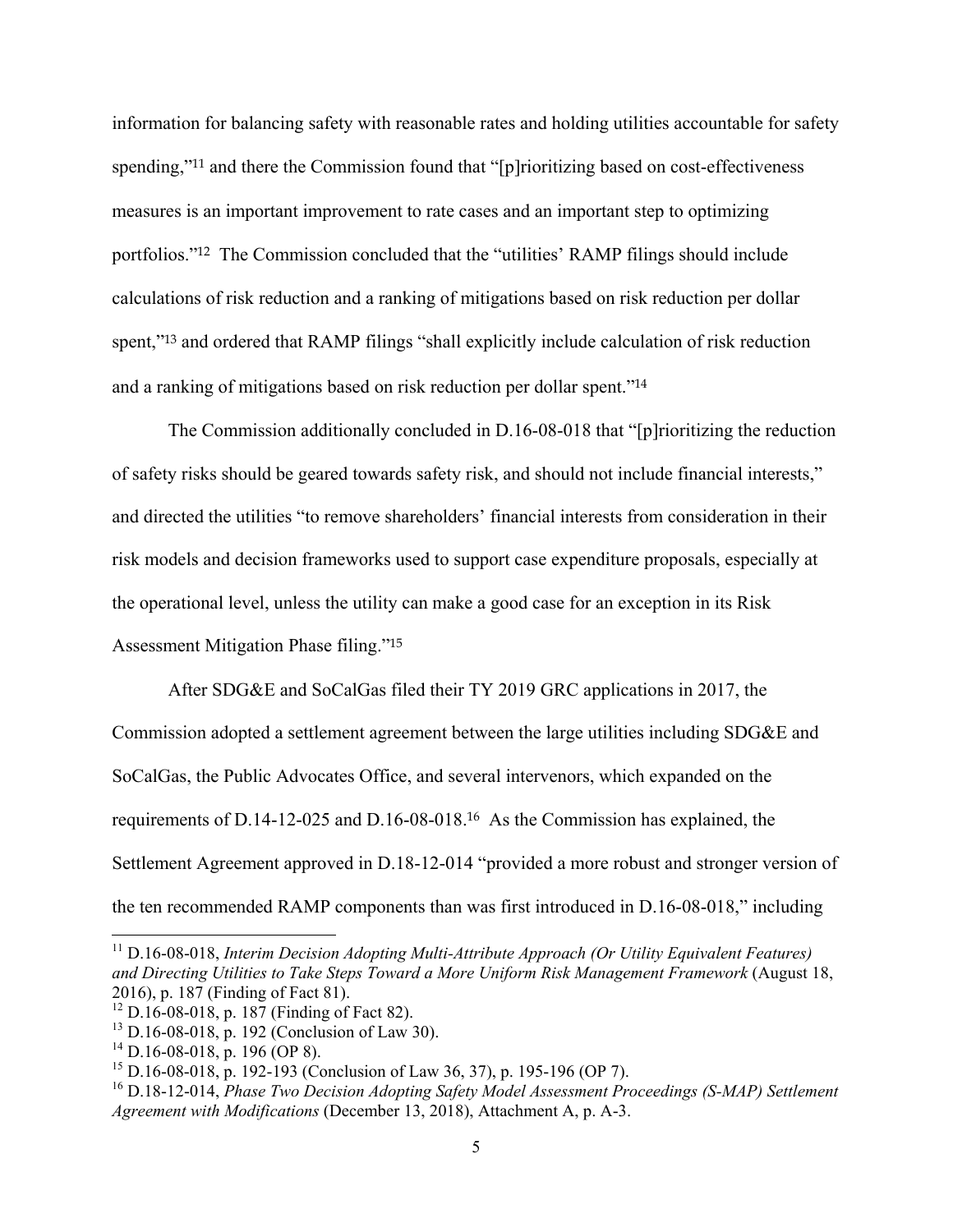information for balancing safety with reasonable rates and holding utilities accountable for safety spending,"<sup>11</sup> and there the Commission found that "[p]rioritizing based on cost-effectiveness measures is an important improvement to rate cases and an important step to optimizing portfolios."12 The Commission concluded that the "utilities' RAMP filings should include calculations of risk reduction and a ranking of mitigations based on risk reduction per dollar spent,"<sup>13</sup> and ordered that RAMP filings "shall explicitly include calculation of risk reduction and a ranking of mitigations based on risk reduction per dollar spent."<sup>14</sup>

The Commission additionally concluded in D.16-08-018 that "[p]rioritizing the reduction of safety risks should be geared towards safety risk, and should not include financial interests," and directed the utilities "to remove shareholders' financial interests from consideration in their risk models and decision frameworks used to support case expenditure proposals, especially at the operational level, unless the utility can make a good case for an exception in its Risk Assessment Mitigation Phase filing."<sup>15</sup>

 After SDG&E and SoCalGas filed their TY 2019 GRC applications in 2017, the Commission adopted a settlement agreement between the large utilities including SDG&E and SoCalGas, the Public Advocates Office, and several intervenors, which expanded on the requirements of D.14-12-025 and D.16-08-018.16 As the Commission has explained, the Settlement Agreement approved in D.18-12-014 "provided a more robust and stronger version of the ten recommended RAMP components than was first introduced in D.16-08-018," including

<sup>11</sup> D.16-08-018, *Interim Decision Adopting Multi-Attribute Approach (Or Utility Equivalent Features) and Directing Utilities to Take Steps Toward a More Uniform Risk Management Framework* (August 18, 2016), p. 187 (Finding of Fact 81).

 $12$  D.16-08-018, p. 187 (Finding of Fact 82).

<sup>13</sup> D.16-08-018, p. 192 (Conclusion of Law 30).

 $^{14}$  D.16-08-018, p. 196 (OP 8).

<sup>15</sup> D.16-08-018, p. 192-193 (Conclusion of Law 36, 37), p. 195-196 (OP 7).

<sup>16</sup> D.18-12-014, *Phase Two Decision Adopting Safety Model Assessment Proceedings (S-MAP) Settlement Agreement with Modifications* (December 13, 2018), Attachment A, p. A-3.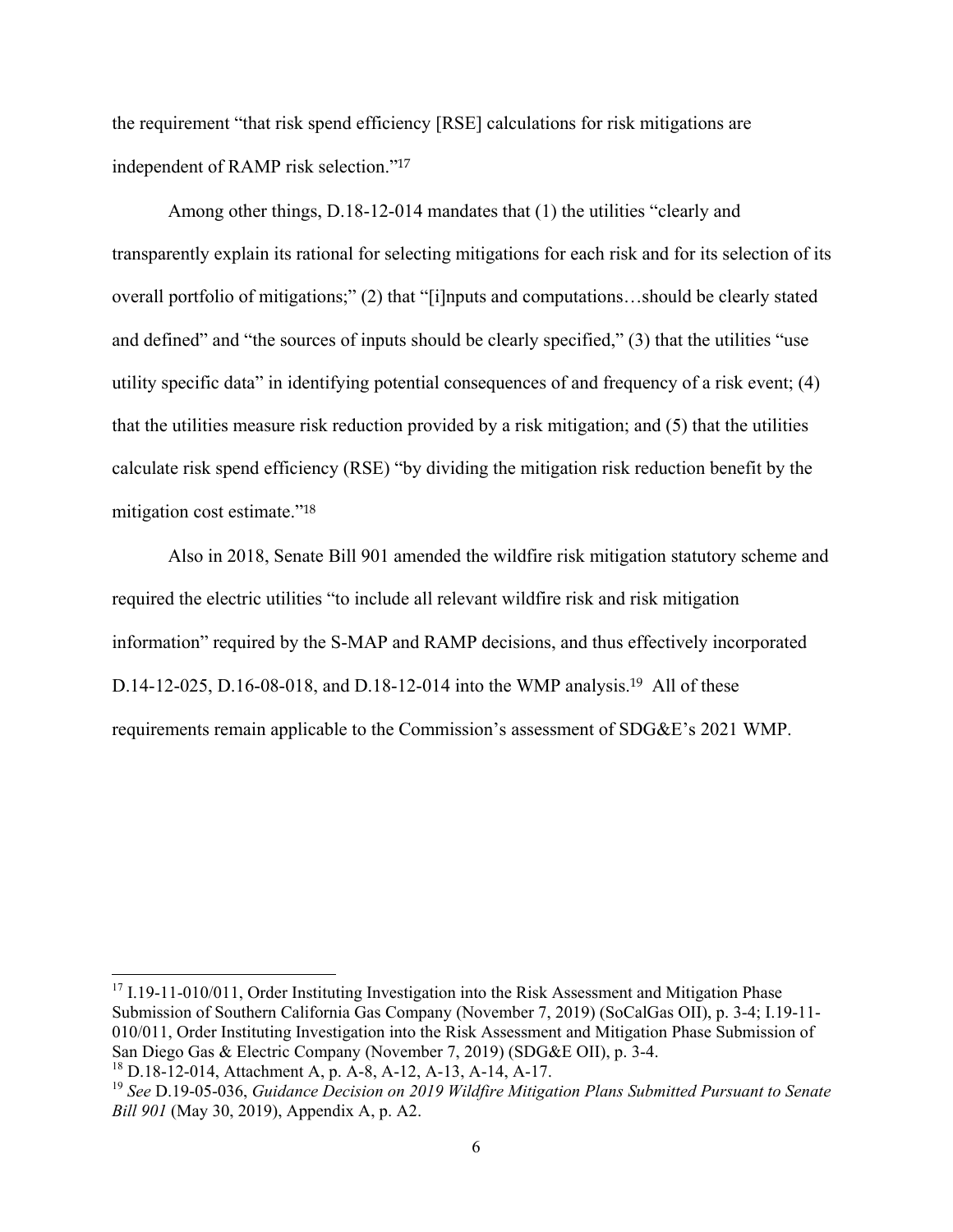the requirement "that risk spend efficiency [RSE] calculations for risk mitigations are independent of RAMP risk selection."<sup>17</sup>

 Among other things, D.18-12-014 mandates that (1) the utilities "clearly and transparently explain its rational for selecting mitigations for each risk and for its selection of its overall portfolio of mitigations;" (2) that "[i]nputs and computations…should be clearly stated and defined" and "the sources of inputs should be clearly specified," (3) that the utilities "use utility specific data" in identifying potential consequences of and frequency of a risk event; (4) that the utilities measure risk reduction provided by a risk mitigation; and (5) that the utilities calculate risk spend efficiency (RSE) "by dividing the mitigation risk reduction benefit by the mitigation cost estimate."<sup>18</sup>

 Also in 2018, Senate Bill 901 amended the wildfire risk mitigation statutory scheme and required the electric utilities "to include all relevant wildfire risk and risk mitigation information" required by the S-MAP and RAMP decisions, and thus effectively incorporated D.14-12-025, D.16-08-018, and D.18-12-014 into the WMP analysis.19 All of these requirements remain applicable to the Commission's assessment of SDG&E's 2021 WMP.

 $17$  I.19-11-010/011, Order Instituting Investigation into the Risk Assessment and Mitigation Phase Submission of Southern California Gas Company (November 7, 2019) (SoCalGas OII), p. 3-4; I.19-11- 010/011, Order Instituting Investigation into the Risk Assessment and Mitigation Phase Submission of San Diego Gas & Electric Company (November 7, 2019) (SDG&E OII), p. 3-4.

 $\overline{a}$ 

<sup>18</sup> D.18-12-014, Attachment A, p. A-8, A-12, A-13, A-14, A-17.

<sup>19</sup> *See* D.19-05-036, *Guidance Decision on 2019 Wildfire Mitigation Plans Submitted Pursuant to Senate Bill 901* (May 30, 2019), Appendix A, p. A2.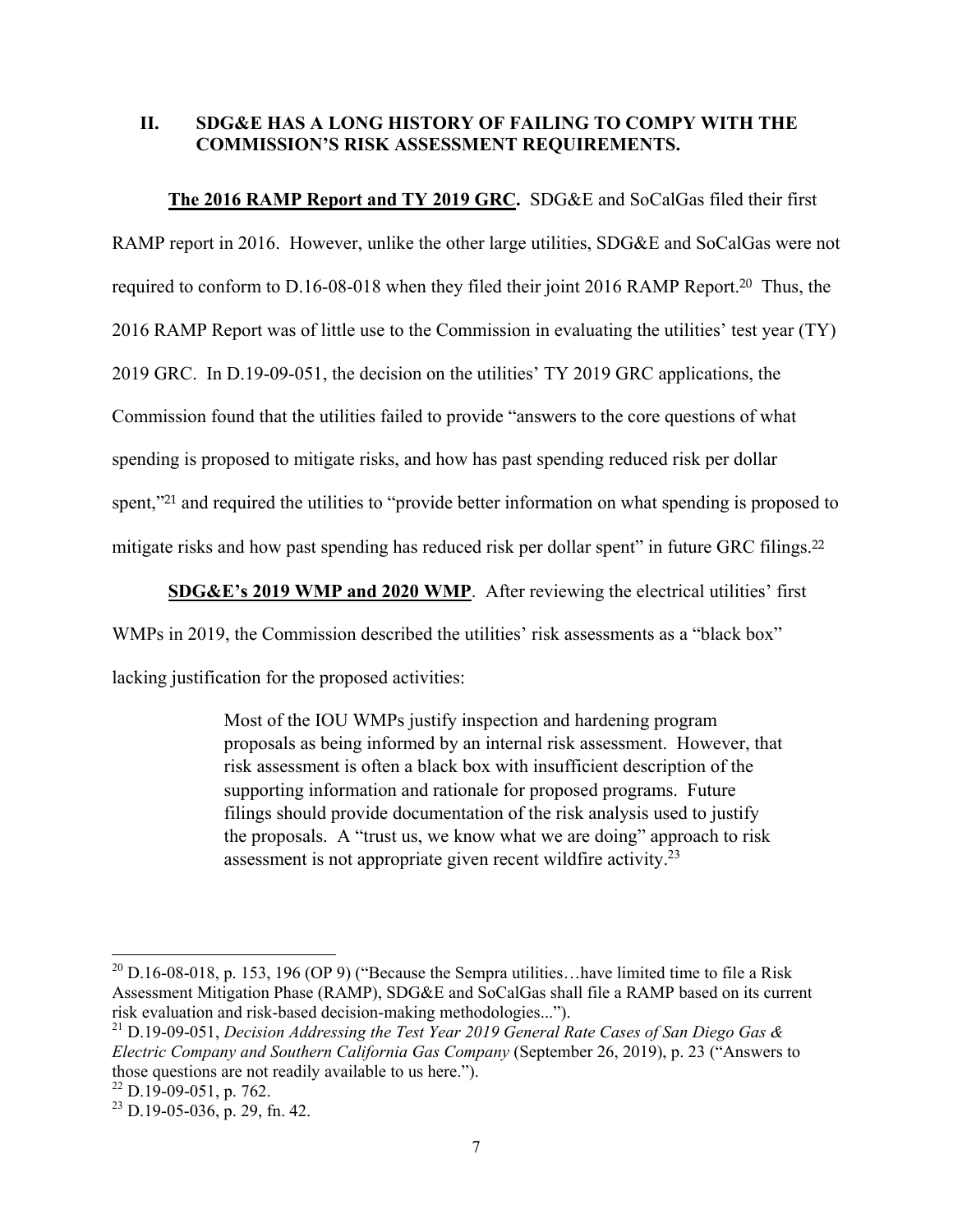#### **II. SDG&E HAS A LONG HISTORY OF FAILING TO COMPY WITH THE COMMISSION'S RISK ASSESSMENT REQUIREMENTS.**

**The 2016 RAMP Report and TY 2019 GRC.** SDG&E and SoCalGas filed their first RAMP report in 2016. However, unlike the other large utilities, SDG&E and SoCalGas were not required to conform to D.16-08-018 when they filed their joint 2016 RAMP Report.20 Thus, the 2016 RAMP Report was of little use to the Commission in evaluating the utilities' test year (TY) 2019 GRC. In D.19-09-051, the decision on the utilities' TY 2019 GRC applications, the Commission found that the utilities failed to provide "answers to the core questions of what spending is proposed to mitigate risks, and how has past spending reduced risk per dollar spent,"<sup>21</sup> and required the utilities to "provide better information on what spending is proposed to mitigate risks and how past spending has reduced risk per dollar spent" in future GRC filings.<sup>22</sup>

**SDG&E's 2019 WMP and 2020 WMP**. After reviewing the electrical utilities' first

WMPs in 2019, the Commission described the utilities' risk assessments as a "black box"

lacking justification for the proposed activities:

Most of the IOU WMPs justify inspection and hardening program proposals as being informed by an internal risk assessment. However, that risk assessment is often a black box with insufficient description of the supporting information and rationale for proposed programs. Future filings should provide documentation of the risk analysis used to justify the proposals. A "trust us, we know what we are doing" approach to risk assessment is not appropriate given recent wildfire activity.23

 $^{20}$  D.16-08-018, p. 153, 196 (OP 9) ("Because the Sempra utilities... have limited time to file a Risk Assessment Mitigation Phase (RAMP), SDG&E and SoCalGas shall file a RAMP based on its current risk evaluation and risk-based decision-making methodologies...").

<sup>21</sup> D.19-09-051, *Decision Addressing the Test Year 2019 General Rate Cases of San Diego Gas & Electric Company and Southern California Gas Company* (September 26, 2019), p. 23 ("Answers to those questions are not readily available to us here.").

 $22$  D.19-09-051, p. 762.

 $23$  D.19-05-036, p. 29, fn. 42.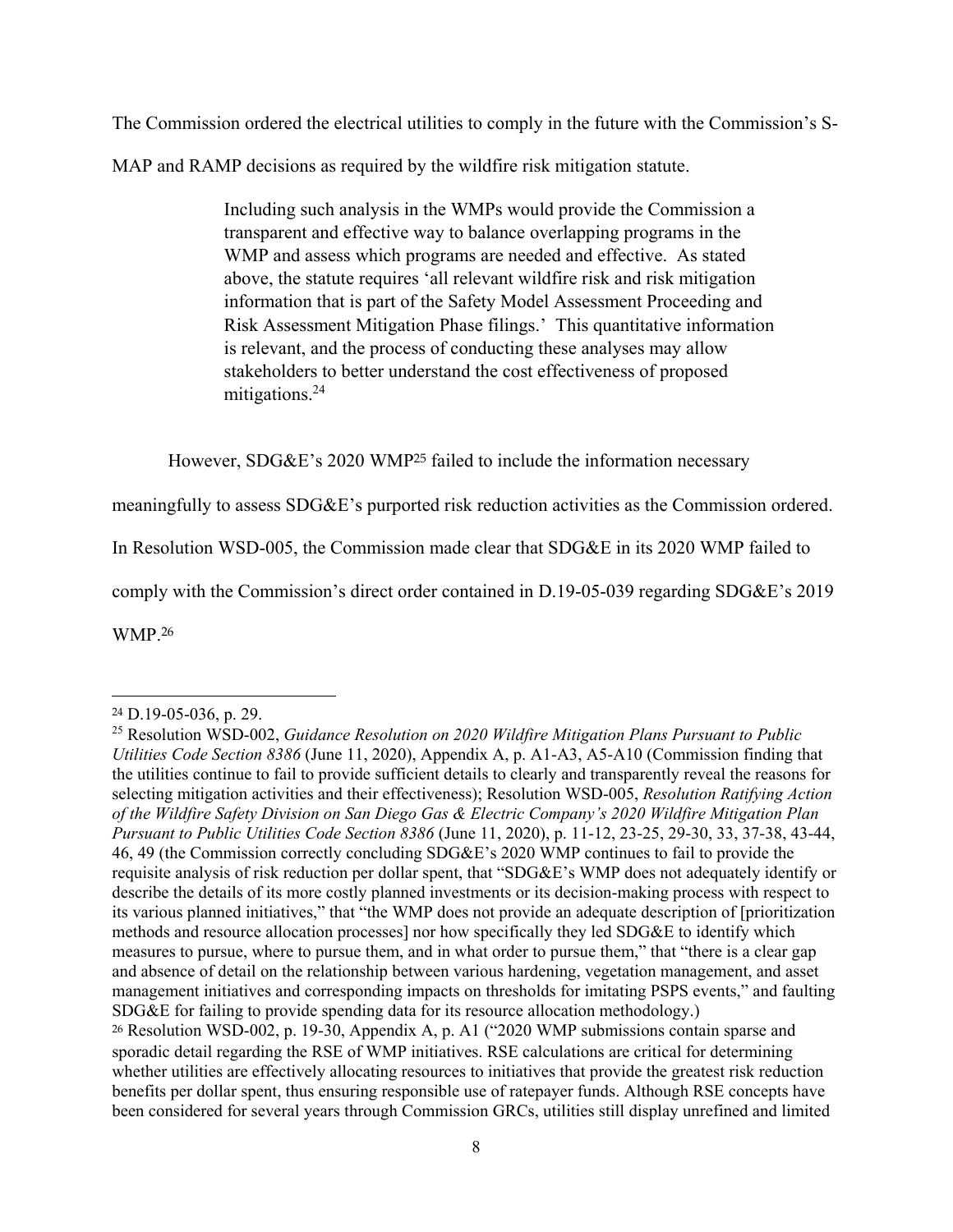The Commission ordered the electrical utilities to comply in the future with the Commission's S-

MAP and RAMP decisions as required by the wildfire risk mitigation statute.

Including such analysis in the WMPs would provide the Commission a transparent and effective way to balance overlapping programs in the WMP and assess which programs are needed and effective. As stated above, the statute requires 'all relevant wildfire risk and risk mitigation information that is part of the Safety Model Assessment Proceeding and Risk Assessment Mitigation Phase filings.' This quantitative information is relevant, and the process of conducting these analyses may allow stakeholders to better understand the cost effectiveness of proposed mitigations.<sup>24</sup>

However, SDG&E's 2020 WMP25 failed to include the information necessary

meaningfully to assess SDG&E's purported risk reduction activities as the Commission ordered.

In Resolution WSD-005, the Commission made clear that SDG&E in its 2020 WMP failed to

comply with the Commission's direct order contained in D.19-05-039 regarding SDG&E's 2019

WMP.<sup>26</sup>

l <sup>24</sup> D.19-05-036, p. 29.

<sup>25</sup> Resolution WSD-002, *Guidance Resolution on 2020 Wildfire Mitigation Plans Pursuant to Public Utilities Code Section 8386* (June 11, 2020), Appendix A, p. A1-A3, A5-A10 (Commission finding that the utilities continue to fail to provide sufficient details to clearly and transparently reveal the reasons for selecting mitigation activities and their effectiveness); Resolution WSD-005, *Resolution Ratifying Action of the Wildfire Safety Division on San Diego Gas & Electric Company's 2020 Wildfire Mitigation Plan Pursuant to Public Utilities Code Section 8386* (June 11, 2020), p. 11-12, 23-25, 29-30, 33, 37-38, 43-44, 46, 49 (the Commission correctly concluding SDG&E's 2020 WMP continues to fail to provide the requisite analysis of risk reduction per dollar spent, that "SDG&E's WMP does not adequately identify or describe the details of its more costly planned investments or its decision-making process with respect to its various planned initiatives," that "the WMP does not provide an adequate description of [prioritization methods and resource allocation processes] nor how specifically they led SDG&E to identify which measures to pursue, where to pursue them, and in what order to pursue them," that "there is a clear gap and absence of detail on the relationship between various hardening, vegetation management, and asset management initiatives and corresponding impacts on thresholds for imitating PSPS events," and faulting SDG&E for failing to provide spending data for its resource allocation methodology.) <sup>26</sup> Resolution WSD-002, p. 19-30, Appendix A, p. A1 ("2020 WMP submissions contain sparse and sporadic detail regarding the RSE of WMP initiatives. RSE calculations are critical for determining whether utilities are effectively allocating resources to initiatives that provide the greatest risk reduction benefits per dollar spent, thus ensuring responsible use of ratepayer funds. Although RSE concepts have been considered for several years through Commission GRCs, utilities still display unrefined and limited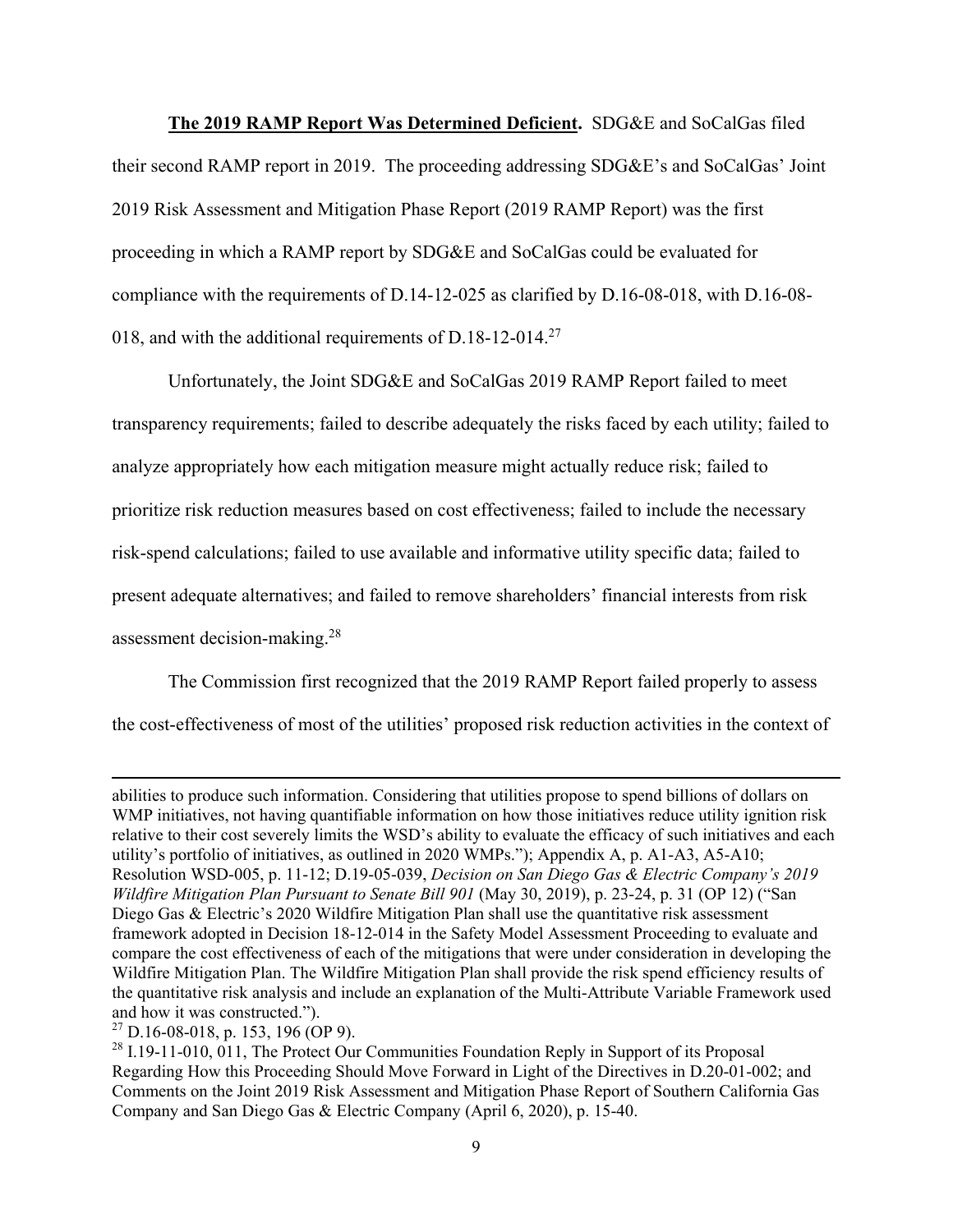**The 2019 RAMP Report Was Determined Deficient.** SDG&E and SoCalGas filed their second RAMP report in 2019. The proceeding addressing SDG&E's and SoCalGas' Joint 2019 Risk Assessment and Mitigation Phase Report (2019 RAMP Report) was the first proceeding in which a RAMP report by SDG&E and SoCalGas could be evaluated for compliance with the requirements of D.14-12-025 as clarified by D.16-08-018, with D.16-08- 018, and with the additional requirements of D.18-12-014.<sup>27</sup>

Unfortunately, the Joint SDG&E and SoCalGas 2019 RAMP Report failed to meet transparency requirements; failed to describe adequately the risks faced by each utility; failed to analyze appropriately how each mitigation measure might actually reduce risk; failed to prioritize risk reduction measures based on cost effectiveness; failed to include the necessary risk-spend calculations; failed to use available and informative utility specific data; failed to present adequate alternatives; and failed to remove shareholders' financial interests from risk assessment decision-making.28

The Commission first recognized that the 2019 RAMP Report failed properly to assess the cost-effectiveness of most of the utilities' proposed risk reduction activities in the context of

abilities to produce such information. Considering that utilities propose to spend billions of dollars on WMP initiatives, not having quantifiable information on how those initiatives reduce utility ignition risk relative to their cost severely limits the WSD's ability to evaluate the efficacy of such initiatives and each utility's portfolio of initiatives, as outlined in 2020 WMPs."); Appendix A, p. A1-A3, A5-A10; Resolution WSD-005, p. 11-12; D.19-05-039, *Decision on San Diego Gas & Electric Company's 2019 Wildfire Mitigation Plan Pursuant to Senate Bill 901* (May 30, 2019), p. 23-24, p. 31 (OP 12) ("San Diego Gas & Electric's 2020 Wildfire Mitigation Plan shall use the quantitative risk assessment framework adopted in Decision 18-12-014 in the Safety Model Assessment Proceeding to evaluate and compare the cost effectiveness of each of the mitigations that were under consideration in developing the Wildfire Mitigation Plan. The Wildfire Mitigation Plan shall provide the risk spend efficiency results of the quantitative risk analysis and include an explanation of the Multi-Attribute Variable Framework used and how it was constructed.").

 $^{27}$  D.16-08-018, p. 153, 196 (OP 9).

 $^{28}$  I.19-11-010, 011, The Protect Our Communities Foundation Reply in Support of its Proposal Regarding How this Proceeding Should Move Forward in Light of the Directives in D.20-01-002; and Comments on the Joint 2019 Risk Assessment and Mitigation Phase Report of Southern California Gas Company and San Diego Gas & Electric Company (April 6, 2020), p. 15-40.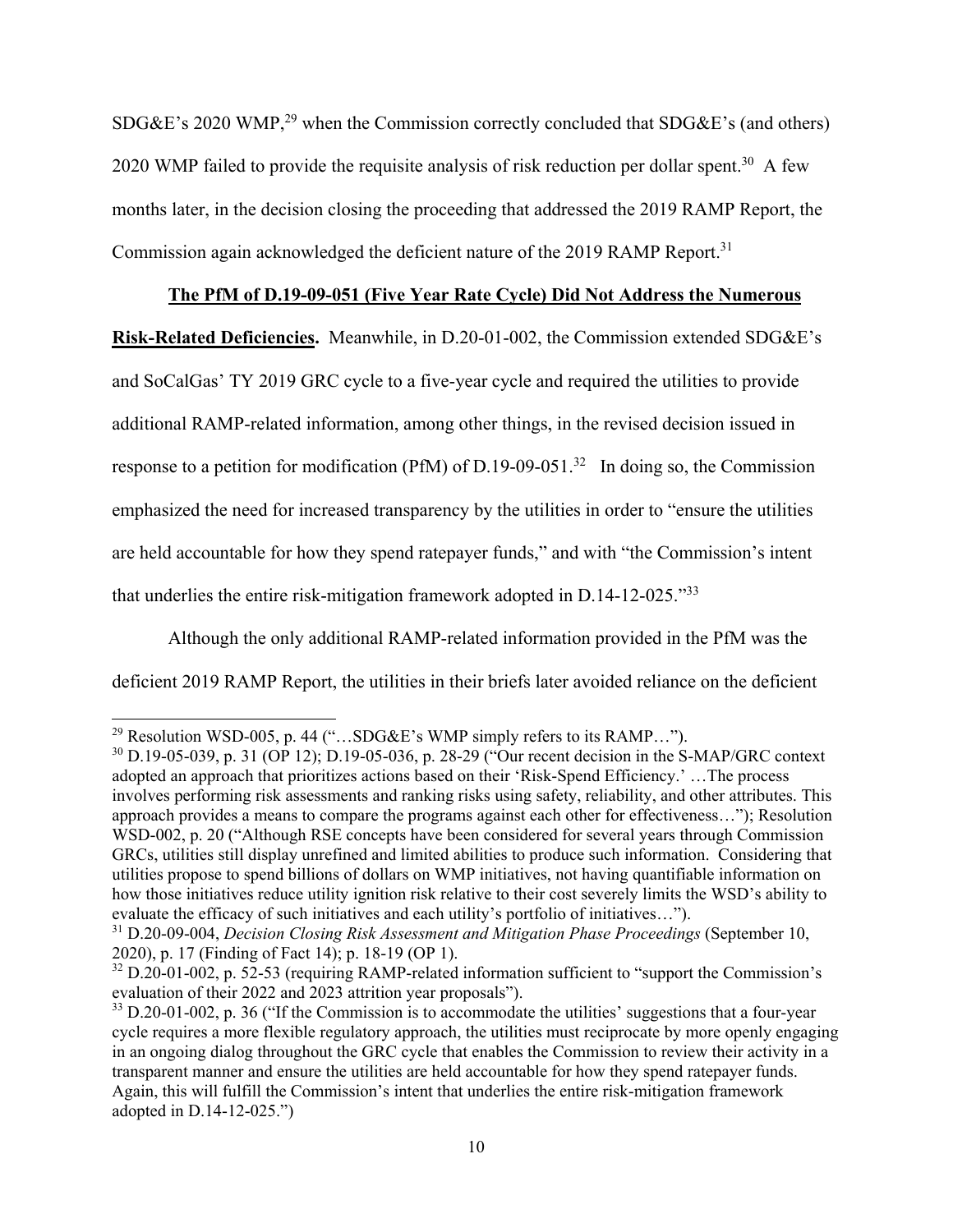SDG&E's 2020 WMP,<sup>29</sup> when the Commission correctly concluded that SDG&E's (and others) 2020 WMP failed to provide the requisite analysis of risk reduction per dollar spent.<sup>30</sup> A few months later, in the decision closing the proceeding that addressed the 2019 RAMP Report, the Commission again acknowledged the deficient nature of the 2019 RAMP Report.<sup>31</sup>

## **The PfM of D.19-09-051 (Five Year Rate Cycle) Did Not Address the Numerous**

**Risk-Related Deficiencies.** Meanwhile, in D.20-01-002, the Commission extended SDG&E's and SoCalGas' TY 2019 GRC cycle to a five-year cycle and required the utilities to provide additional RAMP-related information, among other things, in the revised decision issued in response to a petition for modification (PfM) of D.19-09-051.<sup>32</sup> In doing so, the Commission emphasized the need for increased transparency by the utilities in order to "ensure the utilities are held accountable for how they spend ratepayer funds," and with "the Commission's intent that underlies the entire risk-mitigation framework adopted in D.14-12-025."33

 Although the only additional RAMP-related information provided in the PfM was the deficient 2019 RAMP Report, the utilities in their briefs later avoided reliance on the deficient

<sup>&</sup>lt;sup>29</sup> Resolution WSD-005, p. 44 ("...SDG&E's WMP simply refers to its RAMP...").

 $30$  D.19-05-039, p. 31 (OP 12); D.19-05-036, p. 28-29 ("Our recent decision in the S-MAP/GRC context" adopted an approach that prioritizes actions based on their 'Risk-Spend Efficiency.' …The process involves performing risk assessments and ranking risks using safety, reliability, and other attributes. This approach provides a means to compare the programs against each other for effectiveness…"); Resolution WSD-002, p. 20 ("Although RSE concepts have been considered for several years through Commission GRCs, utilities still display unrefined and limited abilities to produce such information. Considering that utilities propose to spend billions of dollars on WMP initiatives, not having quantifiable information on how those initiatives reduce utility ignition risk relative to their cost severely limits the WSD's ability to evaluate the efficacy of such initiatives and each utility's portfolio of initiatives…").

<sup>31</sup> D.20-09-004, *Decision Closing Risk Assessment and Mitigation Phase Proceedings* (September 10, 2020), p. 17 (Finding of Fact 14); p. 18-19 (OP 1).

 $32$  D.20-01-002, p. 52-53 (requiring RAMP-related information sufficient to "support the Commission's evaluation of their 2022 and 2023 attrition year proposals").

 $33$  D.20-01-002, p. 36 ("If the Commission is to accommodate the utilities' suggestions that a four-year cycle requires a more flexible regulatory approach, the utilities must reciprocate by more openly engaging in an ongoing dialog throughout the GRC cycle that enables the Commission to review their activity in a transparent manner and ensure the utilities are held accountable for how they spend ratepayer funds. Again, this will fulfill the Commission's intent that underlies the entire risk-mitigation framework adopted in D.14-12-025.")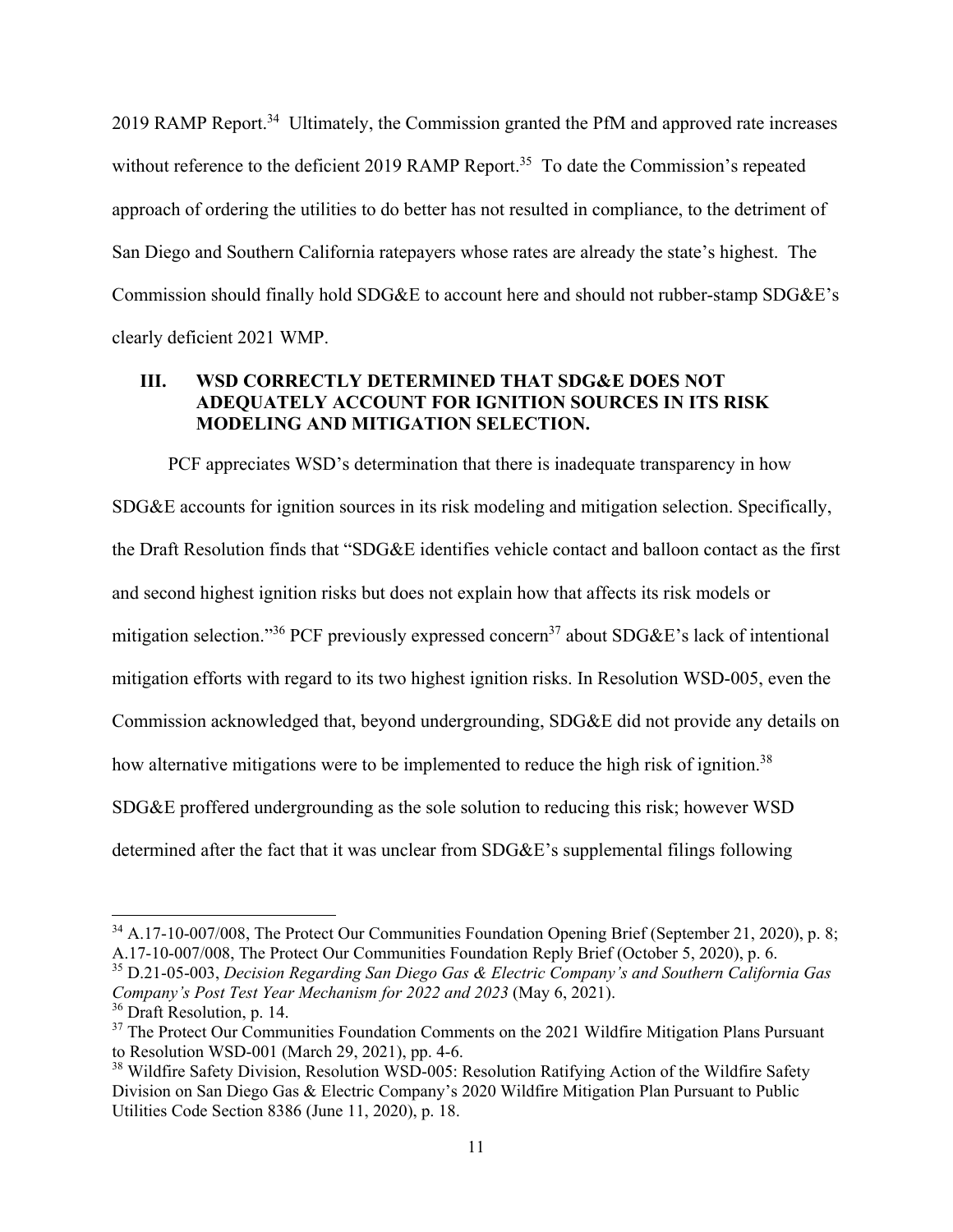2019 RAMP Report.<sup>34</sup> Ultimately, the Commission granted the PfM and approved rate increases without reference to the deficient 2019 RAMP Report.<sup>35</sup> To date the Commission's repeated approach of ordering the utilities to do better has not resulted in compliance, to the detriment of San Diego and Southern California ratepayers whose rates are already the state's highest. The Commission should finally hold SDG&E to account here and should not rubber-stamp SDG&E's clearly deficient 2021 WMP.

### **III. WSD CORRECTLY DETERMINED THAT SDG&E DOES NOT ADEQUATELY ACCOUNT FOR IGNITION SOURCES IN ITS RISK MODELING AND MITIGATION SELECTION.**

PCF appreciates WSD's determination that there is inadequate transparency in how SDG&E accounts for ignition sources in its risk modeling and mitigation selection. Specifically, the Draft Resolution finds that "SDG&E identifies vehicle contact and balloon contact as the first and second highest ignition risks but does not explain how that affects its risk models or mitigation selection."<sup>36</sup> PCF previously expressed concern<sup>37</sup> about SDG&E's lack of intentional mitigation efforts with regard to its two highest ignition risks. In Resolution WSD-005, even the Commission acknowledged that, beyond undergrounding, SDG&E did not provide any details on how alternative mitigations were to be implemented to reduce the high risk of ignition.<sup>38</sup> SDG&E proffered undergrounding as the sole solution to reducing this risk; however WSD determined after the fact that it was unclear from SDG&E's supplemental filings following

 $\overline{\phantom{a}}$ 

<sup>&</sup>lt;sup>34</sup> A.17-10-007/008, The Protect Our Communities Foundation Opening Brief (September 21, 2020), p. 8; A.17-10-007/008, The Protect Our Communities Foundation Reply Brief (October 5, 2020), p. 6.

<sup>35</sup> D.21-05-003, *Decision Regarding San Diego Gas & Electric Company's and Southern California Gas Company's Post Test Year Mechanism for 2022 and 2023* (May 6, 2021).

<sup>&</sup>lt;sup>36</sup> Draft Resolution, p. 14.

<sup>&</sup>lt;sup>37</sup> The Protect Our Communities Foundation Comments on the 2021 Wildfire Mitigation Plans Pursuant to Resolution WSD-001 (March 29, 2021), pp. 4-6.

<sup>&</sup>lt;sup>38</sup> Wildfire Safety Division, Resolution WSD-005: Resolution Ratifying Action of the Wildfire Safety Division on San Diego Gas & Electric Company's 2020 Wildfire Mitigation Plan Pursuant to Public Utilities Code Section 8386 (June 11, 2020), p. 18.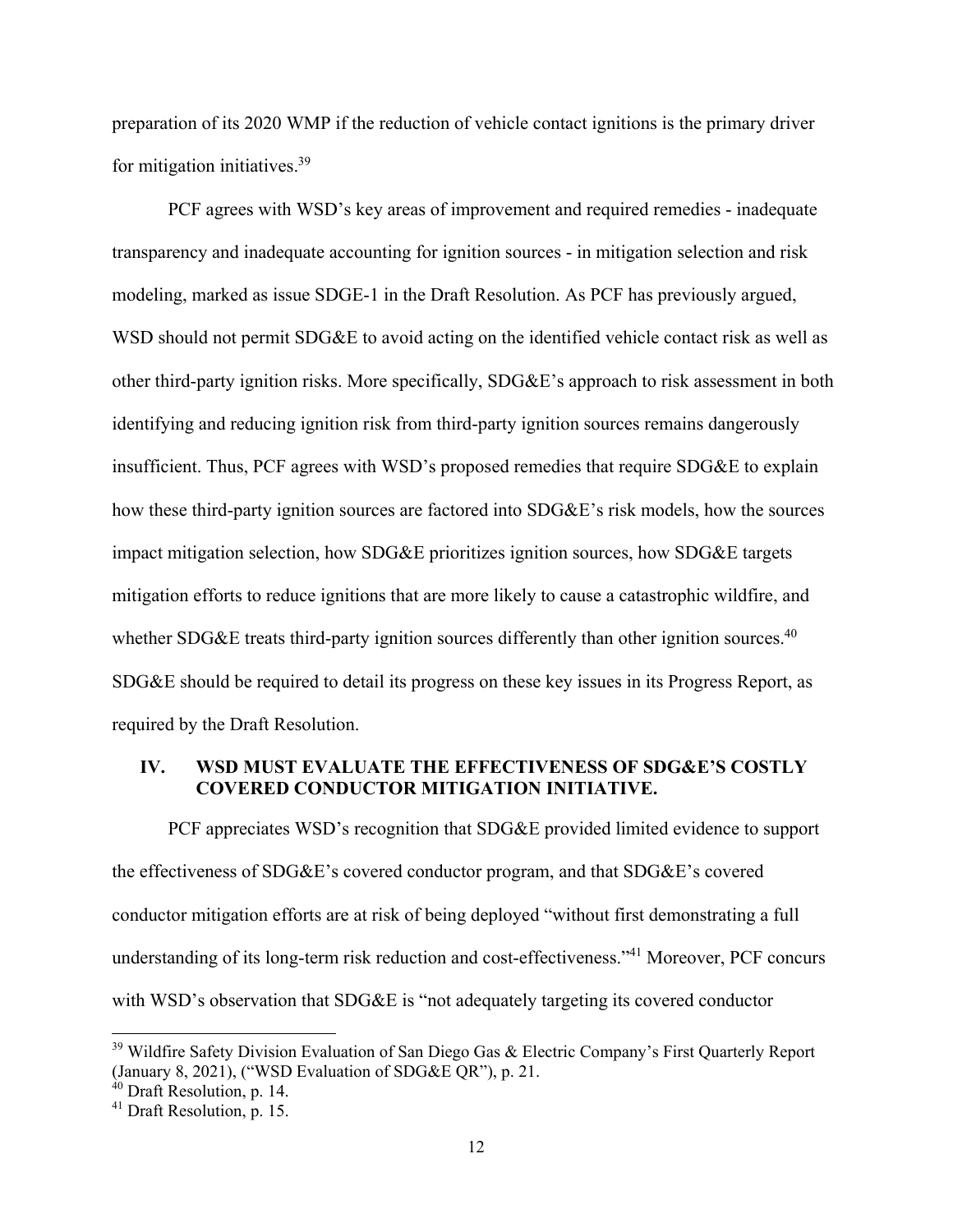preparation of its 2020 WMP if the reduction of vehicle contact ignitions is the primary driver for mitigation initiatives.39

PCF agrees with WSD's key areas of improvement and required remedies - inadequate transparency and inadequate accounting for ignition sources - in mitigation selection and risk modeling, marked as issue SDGE-1 in the Draft Resolution. As PCF has previously argued, WSD should not permit SDG&E to avoid acting on the identified vehicle contact risk as well as other third-party ignition risks. More specifically, SDG&E's approach to risk assessment in both identifying and reducing ignition risk from third-party ignition sources remains dangerously insufficient. Thus, PCF agrees with WSD's proposed remedies that require SDG&E to explain how these third-party ignition sources are factored into SDG&E's risk models, how the sources impact mitigation selection, how SDG&E prioritizes ignition sources, how SDG&E targets mitigation efforts to reduce ignitions that are more likely to cause a catastrophic wildfire, and whether SDG&E treats third-party ignition sources differently than other ignition sources.<sup>40</sup> SDG&E should be required to detail its progress on these key issues in its Progress Report, as required by the Draft Resolution.

#### **IV. WSD MUST EVALUATE THE EFFECTIVENESS OF SDG&E'S COSTLY COVERED CONDUCTOR MITIGATION INITIATIVE.**

PCF appreciates WSD's recognition that SDG&E provided limited evidence to support the effectiveness of SDG&E's covered conductor program, and that SDG&E's covered conductor mitigation efforts are at risk of being deployed "without first demonstrating a full understanding of its long-term risk reduction and cost-effectiveness."41 Moreover, PCF concurs with WSD's observation that SDG&E is "not adequately targeting its covered conductor

<sup>&</sup>lt;sup>39</sup> Wildfire Safety Division Evaluation of San Diego Gas & Electric Company's First Quarterly Report (January 8, 2021), ("WSD Evaluation of SDG&E QR"), p. 21.

 $40$  Draft Resolution, p. 14.

<sup>41</sup> Draft Resolution, p. 15.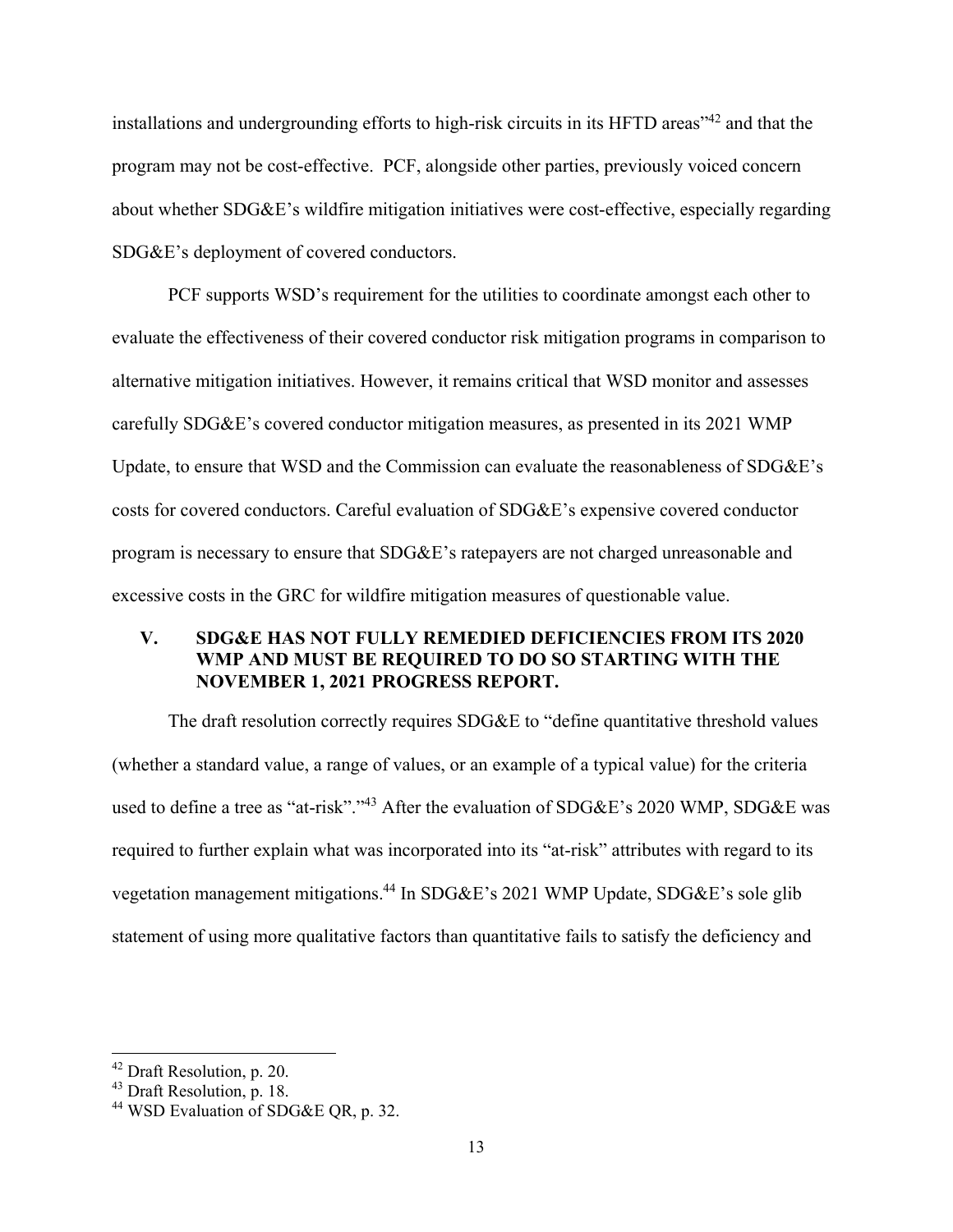installations and undergrounding efforts to high-risk circuits in its HFTD areas<sup>"42</sup> and that the program may not be cost-effective. PCF, alongside other parties, previously voiced concern about whether SDG&E's wildfire mitigation initiatives were cost-effective, especially regarding SDG&E's deployment of covered conductors.

PCF supports WSD's requirement for the utilities to coordinate amongst each other to evaluate the effectiveness of their covered conductor risk mitigation programs in comparison to alternative mitigation initiatives. However, it remains critical that WSD monitor and assesses carefully SDG&E's covered conductor mitigation measures, as presented in its 2021 WMP Update, to ensure that WSD and the Commission can evaluate the reasonableness of SDG&E's costs for covered conductors. Careful evaluation of SDG&E's expensive covered conductor program is necessary to ensure that SDG&E's ratepayers are not charged unreasonable and excessive costs in the GRC for wildfire mitigation measures of questionable value.

## **V. SDG&E HAS NOT FULLY REMEDIED DEFICIENCIES FROM ITS 2020 WMP AND MUST BE REQUIRED TO DO SO STARTING WITH THE NOVEMBER 1, 2021 PROGRESS REPORT.**

The draft resolution correctly requires SDG&E to "define quantitative threshold values (whether a standard value, a range of values, or an example of a typical value) for the criteria used to define a tree as "at-risk"."<sup>43</sup> After the evaluation of SDG&E's 2020 WMP, SDG&E was required to further explain what was incorporated into its "at-risk" attributes with regard to its vegetation management mitigations.44 In SDG&E's 2021 WMP Update, SDG&E's sole glib statement of using more qualitative factors than quantitative fails to satisfy the deficiency and

 $\overline{\phantom{a}}$ 

<sup>&</sup>lt;sup>42</sup> Draft Resolution, p. 20.

<sup>43</sup> Draft Resolution, p. 18.

<sup>&</sup>lt;sup>44</sup> WSD Evaluation of SDG&E QR, p. 32.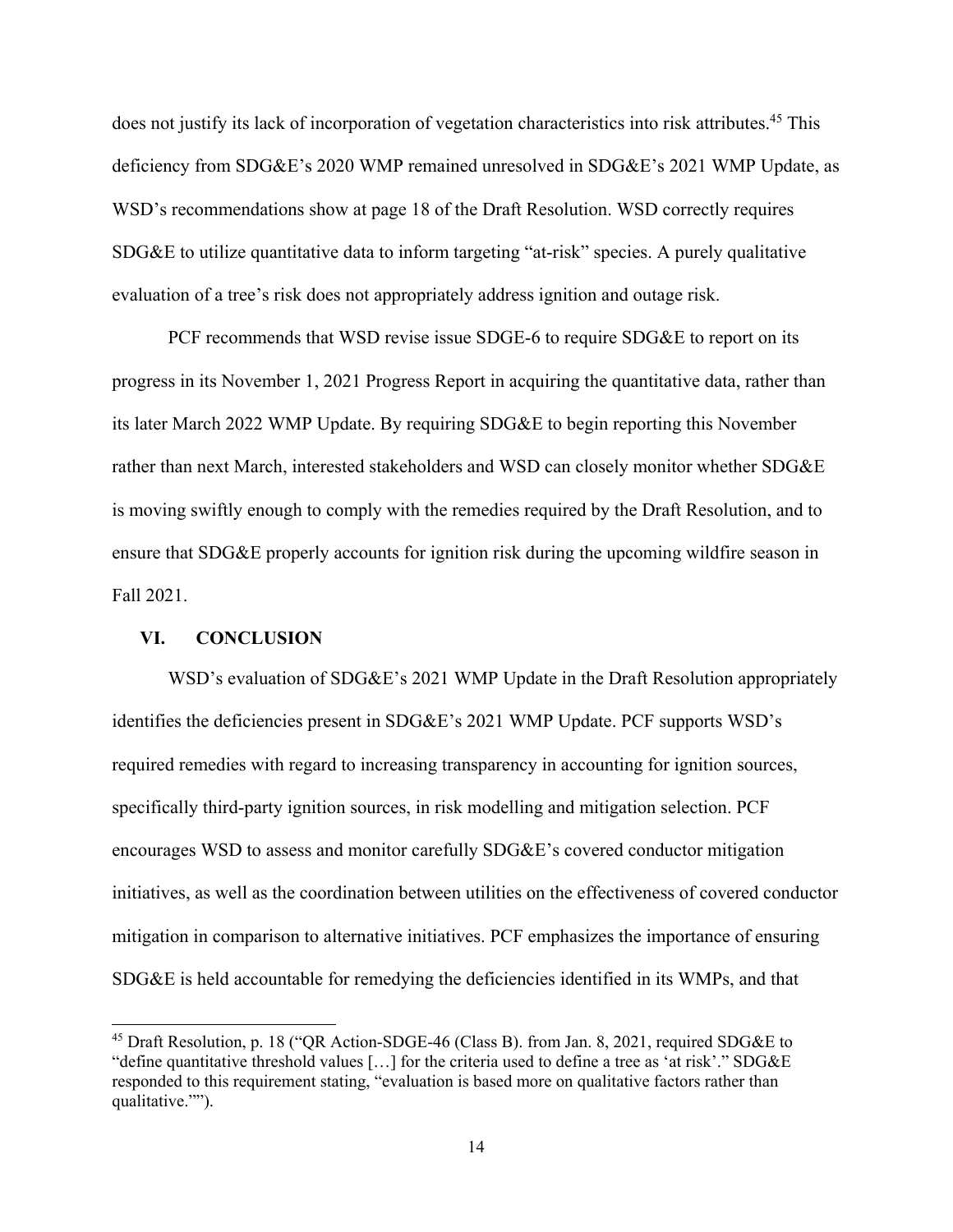does not justify its lack of incorporation of vegetation characteristics into risk attributes.<sup>45</sup> This deficiency from SDG&E's 2020 WMP remained unresolved in SDG&E's 2021 WMP Update, as WSD's recommendations show at page 18 of the Draft Resolution. WSD correctly requires SDG&E to utilize quantitative data to inform targeting "at-risk" species. A purely qualitative evaluation of a tree's risk does not appropriately address ignition and outage risk.

PCF recommends that WSD revise issue SDGE-6 to require SDG&E to report on its progress in its November 1, 2021 Progress Report in acquiring the quantitative data, rather than its later March 2022 WMP Update. By requiring SDG&E to begin reporting this November rather than next March, interested stakeholders and WSD can closely monitor whether SDG&E is moving swiftly enough to comply with the remedies required by the Draft Resolution, and to ensure that SDG&E properly accounts for ignition risk during the upcoming wildfire season in Fall 2021.

#### **VI. CONCLUSION**

l

WSD's evaluation of SDG&E's 2021 WMP Update in the Draft Resolution appropriately identifies the deficiencies present in SDG&E's 2021 WMP Update. PCF supports WSD's required remedies with regard to increasing transparency in accounting for ignition sources, specifically third-party ignition sources, in risk modelling and mitigation selection. PCF encourages WSD to assess and monitor carefully SDG&E's covered conductor mitigation initiatives, as well as the coordination between utilities on the effectiveness of covered conductor mitigation in comparison to alternative initiatives. PCF emphasizes the importance of ensuring SDG&E is held accountable for remedying the deficiencies identified in its WMPs, and that

<sup>&</sup>lt;sup>45</sup> Draft Resolution, p. 18 ("QR Action-SDGE-46 (Class B). from Jan. 8, 2021, required SDG&E to "define quantitative threshold values […] for the criteria used to define a tree as 'at risk'." SDG&E responded to this requirement stating, "evaluation is based more on qualitative factors rather than qualitative."").